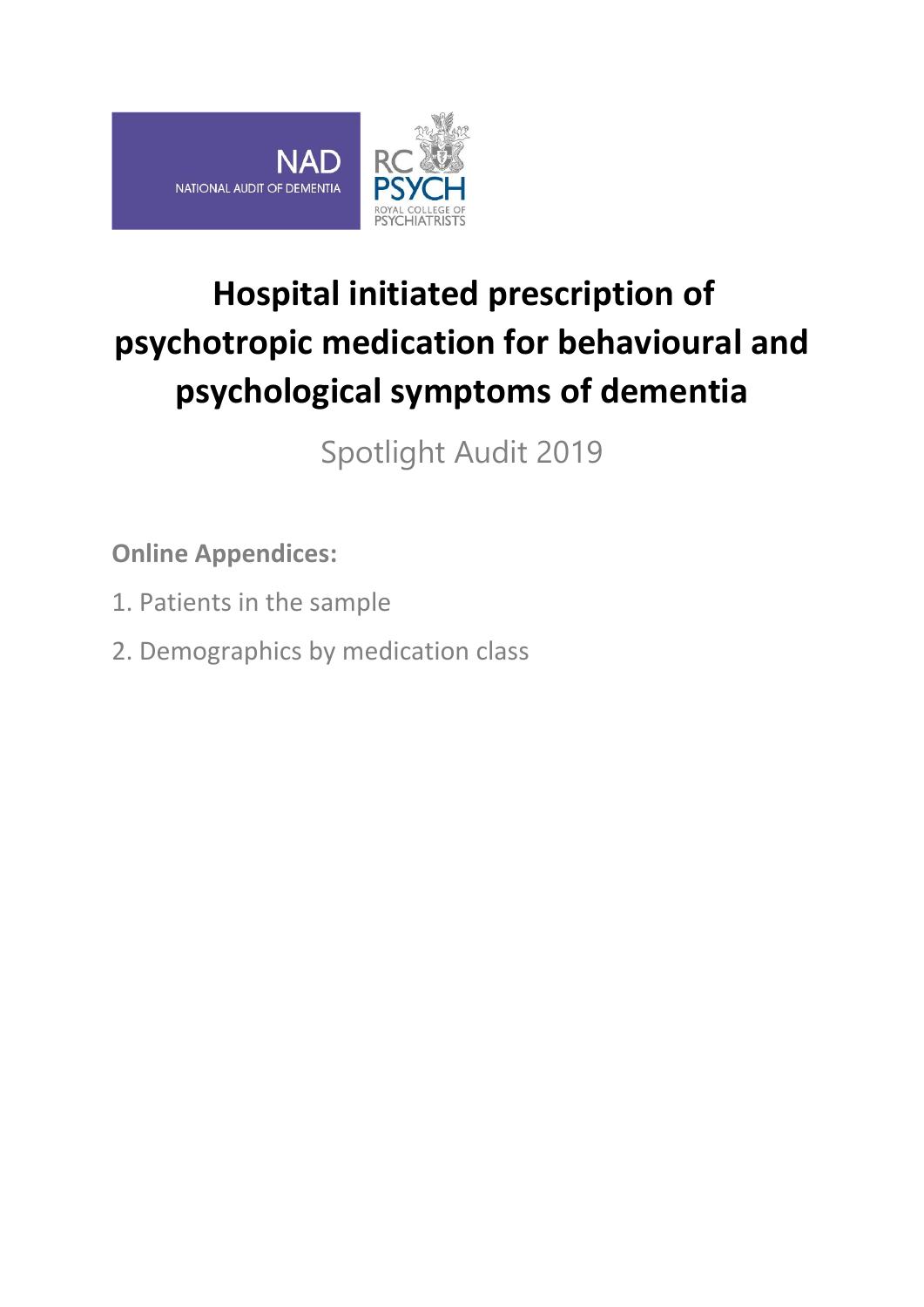

# **Hospital initiated prescription of psychotropic medication for behavioural and psychological symptoms of dementia**

Spotlight Audit 2019

**Online Appendices:**

- 1. Patients in the sample
- 2. Demographics by medication class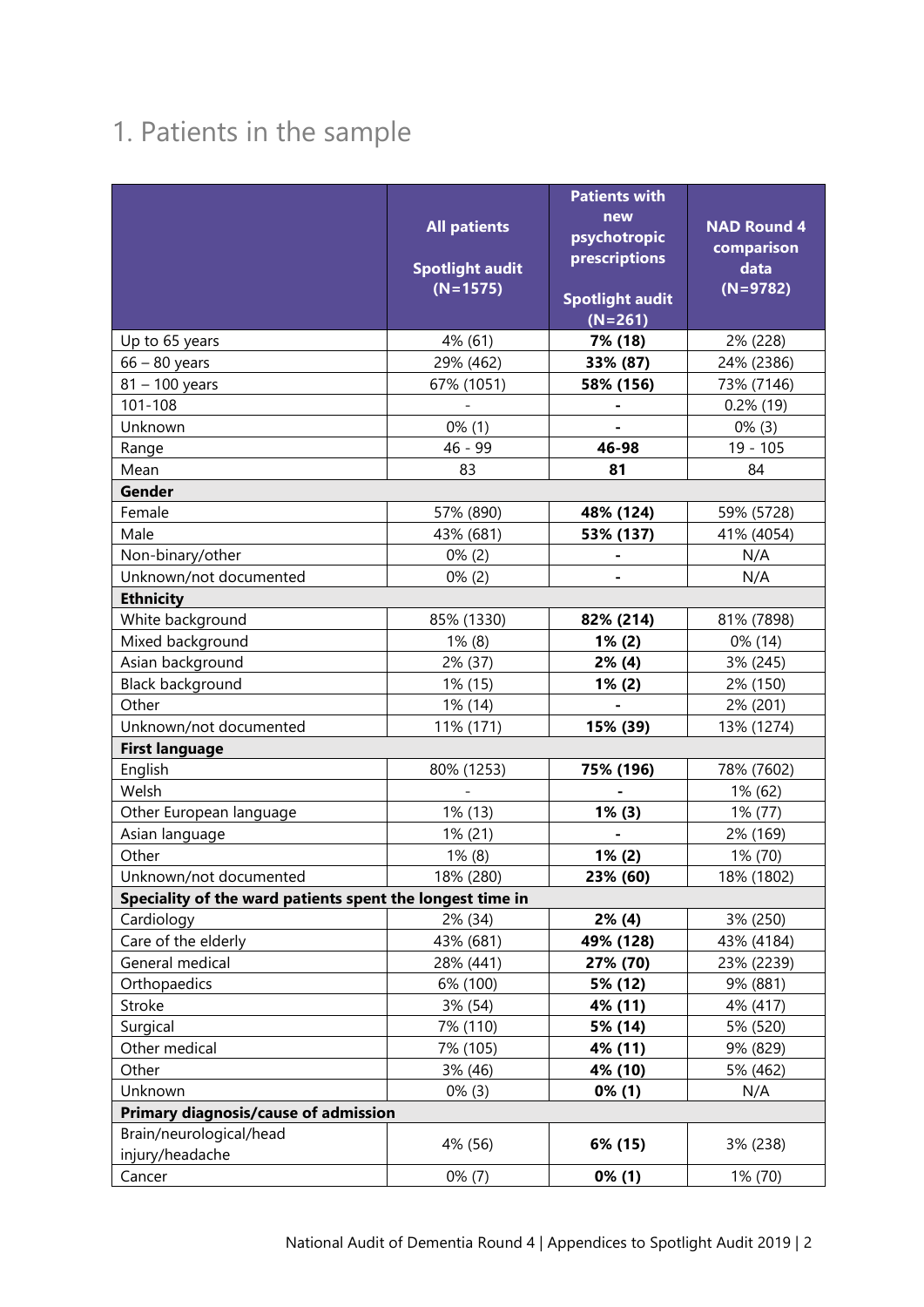## 1. Patients in the sample

|                                                           |                        | new                    | <b>NAD Round 4</b> |  |  |
|-----------------------------------------------------------|------------------------|------------------------|--------------------|--|--|
|                                                           | <b>All patients</b>    | psychotropic           | comparison         |  |  |
|                                                           | <b>Spotlight audit</b> | prescriptions          | data               |  |  |
|                                                           | $(N=1575)$             |                        | $(N=9782)$         |  |  |
|                                                           |                        | <b>Spotlight audit</b> |                    |  |  |
|                                                           |                        | $(N=261)$              |                    |  |  |
| Up to 65 years                                            | 4% (61)                | 7% (18)                | 2% (228)           |  |  |
| $66 - 80$ years                                           | 29% (462)              | 33% (87)               | 24% (2386)         |  |  |
| $81 - 100$ years                                          | 67% (1051)             | 58% (156)              | 73% (7146)         |  |  |
| 101-108                                                   |                        | $\blacksquare$         | $0.2\%$ (19)       |  |  |
| Unknown                                                   | $0\%$ (1)              |                        | $0\%$ (3)          |  |  |
| Range                                                     | 46 - 99                | 46-98                  | $19 - 105$         |  |  |
| Mean                                                      | 83                     | 81                     | 84                 |  |  |
| Gender                                                    |                        |                        |                    |  |  |
| Female                                                    | 57% (890)              | 48% (124)              | 59% (5728)         |  |  |
| Male                                                      | 43% (681)              | 53% (137)              | 41% (4054)         |  |  |
| Non-binary/other                                          | $0\%$ (2)              |                        | N/A                |  |  |
| Unknown/not documented                                    | $0\%$ (2)              |                        | N/A                |  |  |
| <b>Ethnicity</b>                                          |                        |                        |                    |  |  |
| White background                                          | 85% (1330)             | 82% (214)              | 81% (7898)         |  |  |
| Mixed background                                          | $1\%$ (8)              | $1\%$ (2)              | 0% (14)            |  |  |
| Asian background                                          | 2% (37)                | $2\%$ (4)              | 3% (245)           |  |  |
| Black background                                          | 1% (15)                | $1\%$ (2)              | 2% (150)           |  |  |
| Other                                                     | 1% (14)                |                        | 2% (201)           |  |  |
| Unknown/not documented                                    | 11% (171)              | 15% (39)               | 13% (1274)         |  |  |
| <b>First language</b>                                     |                        |                        |                    |  |  |
| English                                                   | 80% (1253)             | 75% (196)              | 78% (7602)         |  |  |
| Welsh                                                     |                        |                        | 1% (62)            |  |  |
| Other European language                                   | 1% (13)                | $1\%$ (3)              | 1% (77)            |  |  |
| Asian language                                            | 1% (21)                |                        | 2% (169)           |  |  |
| Other                                                     | $1\%$ (8)              | $1\% (2)$              | 1% (70)            |  |  |
| Unknown/not documented                                    | 18% (280)              | 23% (60)               | 18% (1802)         |  |  |
| Speciality of the ward patients spent the longest time in |                        |                        |                    |  |  |
| Cardiology                                                | 2% (34)                | $2\%$ (4)              | 3% (250)           |  |  |
| Care of the elderly                                       | 43% (681)              | 49% (128)              | 43% (4184)         |  |  |
| General medical                                           | 28% (441)              | 27% (70)               | 23% (2239)         |  |  |
| Orthopaedics                                              | 6% (100)               | 5% (12)                | 9% (881)           |  |  |
| Stroke                                                    | 3% (54)                | 4% (11)                | 4% (417)           |  |  |
| Surgical                                                  | 7% (110)               | 5% (14)                | 5% (520)           |  |  |
| Other medical                                             | 7% (105)               | 4% (11)                | 9% (829)           |  |  |
| Other                                                     | 3% (46)                | 4% (10)                | 5% (462)           |  |  |
| Unknown                                                   | $0\%$ (3)              | $0\%$ (1)              | N/A                |  |  |
| Primary diagnosis/cause of admission                      |                        |                        |                    |  |  |
| Brain/neurological/head<br>injury/headache                | 4% (56)                | 6% (15)                | 3% (238)           |  |  |
| Cancer                                                    | $0\%$ (7)              | $0\%$ (1)              | 1% (70)            |  |  |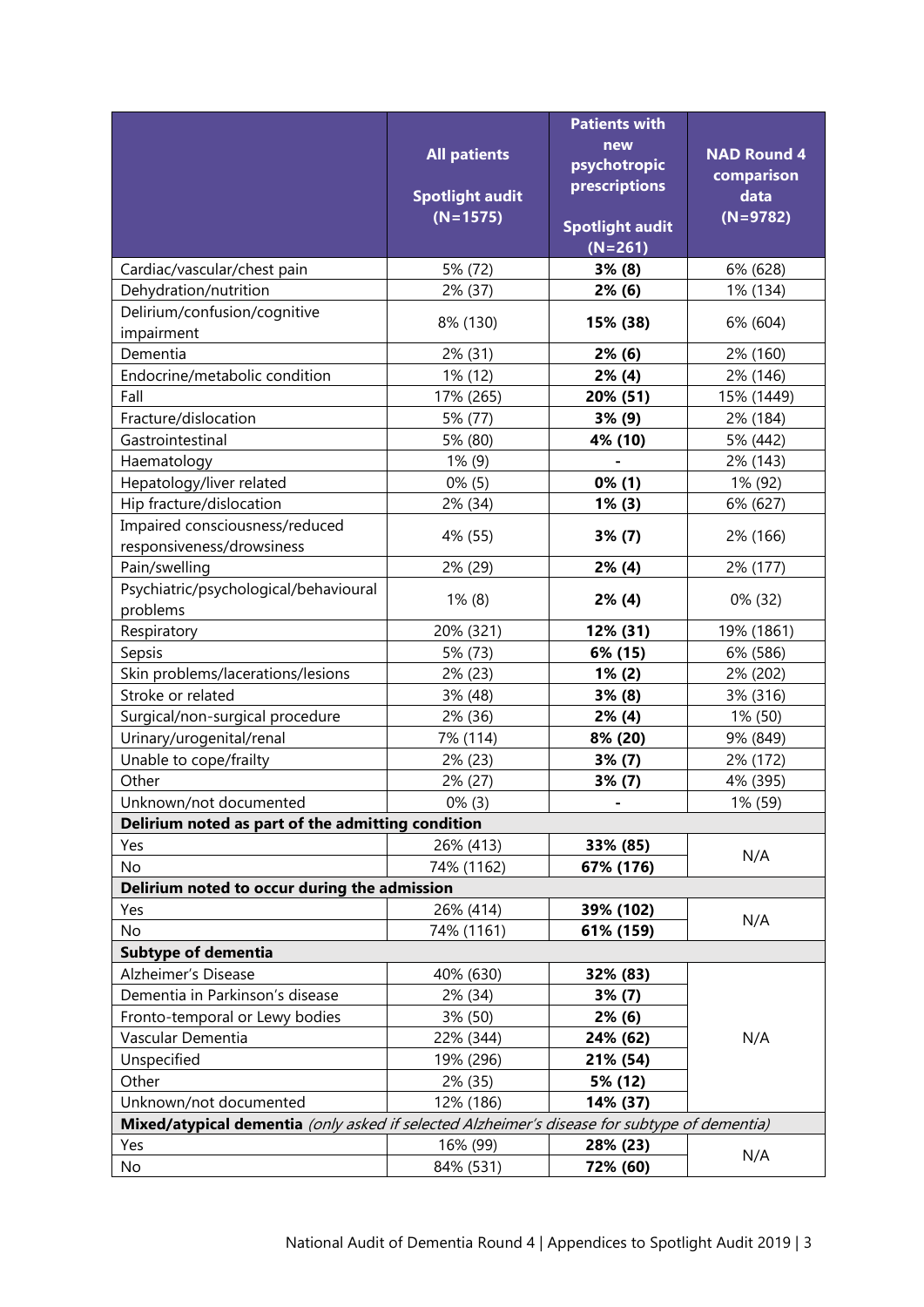|                                                                                              |                                      | <b>Patients with</b>   |                    |  |  |  |
|----------------------------------------------------------------------------------------------|--------------------------------------|------------------------|--------------------|--|--|--|
|                                                                                              |                                      | new                    |                    |  |  |  |
|                                                                                              | <b>All patients</b>                  | psychotropic           | <b>NAD Round 4</b> |  |  |  |
|                                                                                              |                                      | prescriptions          | comparison<br>data |  |  |  |
|                                                                                              | <b>Spotlight audit</b><br>$(N=1575)$ |                        |                    |  |  |  |
|                                                                                              |                                      | <b>Spotlight audit</b> | $(N=9782)$         |  |  |  |
|                                                                                              |                                      | $(N=261)$              |                    |  |  |  |
| Cardiac/vascular/chest pain                                                                  | 5% (72)                              | 3% (8)                 | 6% (628)           |  |  |  |
| Dehydration/nutrition                                                                        | 2% (37)                              | $2\%$ (6)              | 1% (134)           |  |  |  |
| Delirium/confusion/cognitive                                                                 | 8% (130)                             | 15% (38)               | 6% (604)           |  |  |  |
| impairment                                                                                   |                                      |                        |                    |  |  |  |
| Dementia                                                                                     | 2% (31)                              | $2\%$ (6)              | 2% (160)           |  |  |  |
| Endocrine/metabolic condition                                                                | 1% (12)                              | $2\%$ (4)              | 2% (146)           |  |  |  |
| Fall                                                                                         | 17% (265)                            | 20% (51)               | 15% (1449)         |  |  |  |
| Fracture/dislocation                                                                         | 5% (77)                              | 3% (9)                 | 2% (184)           |  |  |  |
| Gastrointestinal                                                                             | 5% (80)                              | 4% (10)                | 5% (442)           |  |  |  |
| Haematology                                                                                  | $1\%$ (9)                            |                        | 2% (143)           |  |  |  |
| Hepatology/liver related                                                                     | $0\%$ (5)                            | $0\%$ (1)              | 1% (92)            |  |  |  |
| Hip fracture/dislocation                                                                     | 2% (34)                              | $1\%$ (3)              | 6% (627)           |  |  |  |
| Impaired consciousness/reduced                                                               | 4% (55)                              | 3% (7)                 | 2% (166)           |  |  |  |
| responsiveness/drowsiness                                                                    |                                      |                        |                    |  |  |  |
| Pain/swelling                                                                                | 2% (29)                              | $2\%$ (4)              | 2% (177)           |  |  |  |
| Psychiatric/psychological/behavioural                                                        | $1\%$ (8)                            | $2\%$ (4)              | 0% (32)            |  |  |  |
| problems                                                                                     |                                      |                        |                    |  |  |  |
| Respiratory                                                                                  | 20% (321)                            | 12% (31)               | 19% (1861)         |  |  |  |
| Sepsis                                                                                       | 5% (73)                              | 6% (15)                | 6% (586)           |  |  |  |
| Skin problems/lacerations/lesions                                                            | 2% (23)                              | $1\%$ (2)              | 2% (202)           |  |  |  |
| Stroke or related                                                                            | 3% (48)                              | 3% (8)                 | 3% (316)           |  |  |  |
| Surgical/non-surgical procedure                                                              | 2% (36)                              | $2\%$ (4)              | 1% (50)            |  |  |  |
| Urinary/urogenital/renal                                                                     | 7% (114)                             | 8% (20)                | 9% (849)           |  |  |  |
| Unable to cope/frailty                                                                       | 2% (23)                              | 3% (7)                 | 2% (172)           |  |  |  |
| Other                                                                                        | 2% (27)                              | 3% (7)                 | 4% (395)           |  |  |  |
| Unknown/not documented                                                                       | $0\%$ (3)                            |                        | 1% (59)            |  |  |  |
| Delirium noted as part of the admitting condition                                            |                                      |                        |                    |  |  |  |
| Yes                                                                                          | 26% (413)                            | 33% (85)               | N/A                |  |  |  |
| No                                                                                           | 74% (1162)                           | 67% (176)              |                    |  |  |  |
| Delirium noted to occur during the admission                                                 |                                      |                        |                    |  |  |  |
| Yes                                                                                          | 26% (414)                            | 39% (102)              | N/A                |  |  |  |
| No                                                                                           | 74% (1161)                           | 61% (159)              |                    |  |  |  |
| <b>Subtype of dementia</b>                                                                   |                                      |                        |                    |  |  |  |
| Alzheimer's Disease                                                                          | 40% (630)                            | 32% (83)               |                    |  |  |  |
| Dementia in Parkinson's disease                                                              | 2% (34)                              | 3% (7)                 |                    |  |  |  |
| Fronto-temporal or Lewy bodies                                                               | 3% (50)                              | 2% (6)                 |                    |  |  |  |
| Vascular Dementia                                                                            | 22% (344)                            | 24% (62)               | N/A                |  |  |  |
| Unspecified                                                                                  | 19% (296)                            | 21% (54)               |                    |  |  |  |
| Other                                                                                        | 2% (35)                              | 5% (12)                |                    |  |  |  |
| Unknown/not documented                                                                       | 12% (186)                            | 14% (37)               |                    |  |  |  |
| Mixed/atypical dementia (only asked if selected Alzheimer's disease for subtype of dementia) |                                      |                        |                    |  |  |  |
| Yes                                                                                          | 16% (99)                             | 28% (23)               | N/A                |  |  |  |
| No                                                                                           | 84% (531)                            | 72% (60)               |                    |  |  |  |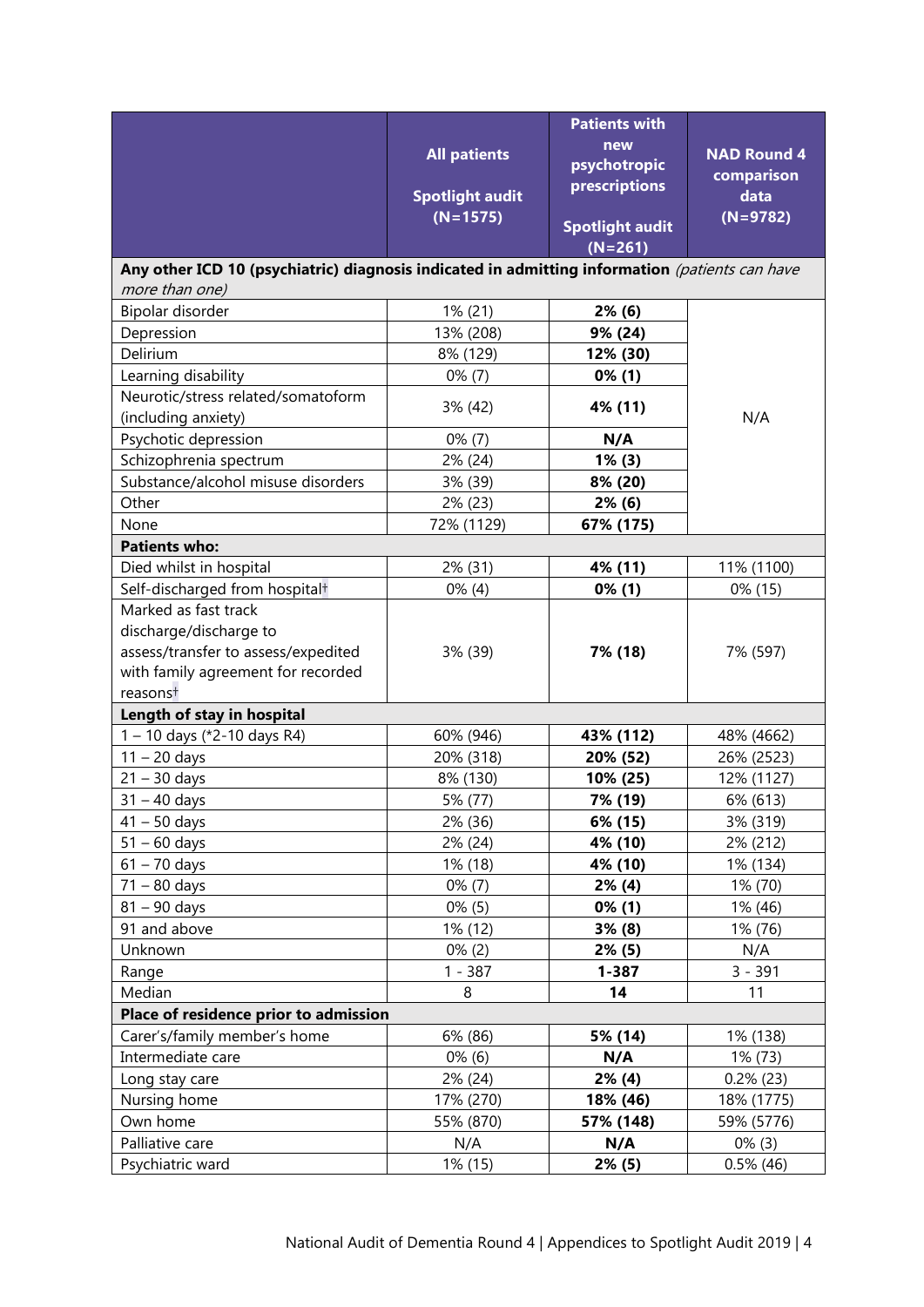|                                                                                                | <b>Patients with</b>   |                                     |                    |  |  |  |
|------------------------------------------------------------------------------------------------|------------------------|-------------------------------------|--------------------|--|--|--|
|                                                                                                | <b>All patients</b>    | new                                 | <b>NAD Round 4</b> |  |  |  |
|                                                                                                |                        | psychotropic<br>prescriptions       | comparison         |  |  |  |
|                                                                                                | <b>Spotlight audit</b> |                                     | data               |  |  |  |
|                                                                                                | $(N=1575)$             | <b>Spotlight audit</b><br>$(N=261)$ | $(N=9782)$         |  |  |  |
| Any other ICD 10 (psychiatric) diagnosis indicated in admitting information (patients can have |                        |                                     |                    |  |  |  |
| more than one)                                                                                 |                        |                                     |                    |  |  |  |
| Bipolar disorder                                                                               | 1% (21)                | $2\%$ (6)                           |                    |  |  |  |
| Depression                                                                                     | 13% (208)              | 9% (24)                             |                    |  |  |  |
| Delirium                                                                                       | 8% (129)               | 12% (30)                            |                    |  |  |  |
| Learning disability                                                                            | $0\%$ (7)              | $0\%$ (1)                           |                    |  |  |  |
| Neurotic/stress related/somatoform<br>(including anxiety)                                      | 3% (42)                | 4% (11)                             | N/A                |  |  |  |
| Psychotic depression                                                                           | $0\%$ (7)              | N/A                                 |                    |  |  |  |
| Schizophrenia spectrum                                                                         | 2% (24)                | $1\%$ (3)                           |                    |  |  |  |
| Substance/alcohol misuse disorders                                                             | 3% (39)                | 8% (20)                             |                    |  |  |  |
| Other                                                                                          | 2% (23)                | $2\%$ (6)                           |                    |  |  |  |
| None                                                                                           | 72% (1129)             | 67% (175)                           |                    |  |  |  |
| <b>Patients who:</b>                                                                           |                        |                                     |                    |  |  |  |
| Died whilst in hospital                                                                        | 2% (31)                | 4% (11)                             | 11% (1100)         |  |  |  |
| Self-discharged from hospital <sup>+</sup>                                                     | $0\%$ (4)              | $0\%$ (1)                           | 0% (15)            |  |  |  |
| Marked as fast track                                                                           |                        |                                     |                    |  |  |  |
| discharge/discharge to                                                                         |                        |                                     |                    |  |  |  |
| assess/transfer to assess/expedited                                                            | 3% (39)                | 7% (18)                             | 7% (597)           |  |  |  |
| with family agreement for recorded                                                             |                        |                                     |                    |  |  |  |
| reasonst                                                                                       |                        |                                     |                    |  |  |  |
| Length of stay in hospital                                                                     |                        |                                     |                    |  |  |  |
| 1 - 10 days (*2-10 days R4)                                                                    | 60% (946)              | 43% (112)                           | 48% (4662)         |  |  |  |
| $11 - 20$ days                                                                                 | 20% (318)              | 20% (52)                            | 26% (2523)         |  |  |  |
| $21 - 30$ days                                                                                 | 8% (130)               | 10% (25)                            | 12% (1127)         |  |  |  |
| $31 - 40$ days                                                                                 | 5% (77)                | 7% (19)                             | 6% (613)           |  |  |  |
| $41 - 50$ days                                                                                 | 2% (36)                | 6% (15)                             | 3% (319)           |  |  |  |
| $51 - 60$ days                                                                                 | 2% (24)                | 4% (10)                             | 2% (212)           |  |  |  |
| $61 - 70$ days                                                                                 | 1% (18)                | 4% (10)                             | 1% (134)           |  |  |  |
| $71 - 80$ days                                                                                 | $0\%$ (7)              | $2\%$ (4)                           | 1% (70)            |  |  |  |
| $81 - 90$ days                                                                                 | $0\%$ (5)              | $0\%$ (1)                           | 1% (46)            |  |  |  |
| 91 and above                                                                                   | 1% (12)                | 3% (8)                              | 1% (76)            |  |  |  |
| Unknown                                                                                        | $0\%$ (2)              | 2% (5)                              | N/A                |  |  |  |
| Range                                                                                          | $1 - 387$              | $1 - 387$                           | $3 - 391$          |  |  |  |
| Median                                                                                         | 8                      | 14                                  | 11                 |  |  |  |
| Place of residence prior to admission                                                          |                        |                                     |                    |  |  |  |
| Carer's/family member's home                                                                   | 6% (86)                | 5% (14)                             | 1% (138)           |  |  |  |
| Intermediate care                                                                              | $0\%$ (6)              | N/A                                 | 1% (73)            |  |  |  |
| Long stay care                                                                                 | 2% (24)                | $2\%$ (4)                           | $0.2\%$ (23)       |  |  |  |
| Nursing home                                                                                   | 17% (270)              | 18% (46)                            | 18% (1775)         |  |  |  |
| Own home                                                                                       | 55% (870)              | 57% (148)                           | 59% (5776)         |  |  |  |
| Palliative care                                                                                | N/A                    | N/A                                 | $0\%$ (3)          |  |  |  |
| Psychiatric ward                                                                               | 1% (15)                | 2% (5)                              | $0.5\%$ (46)       |  |  |  |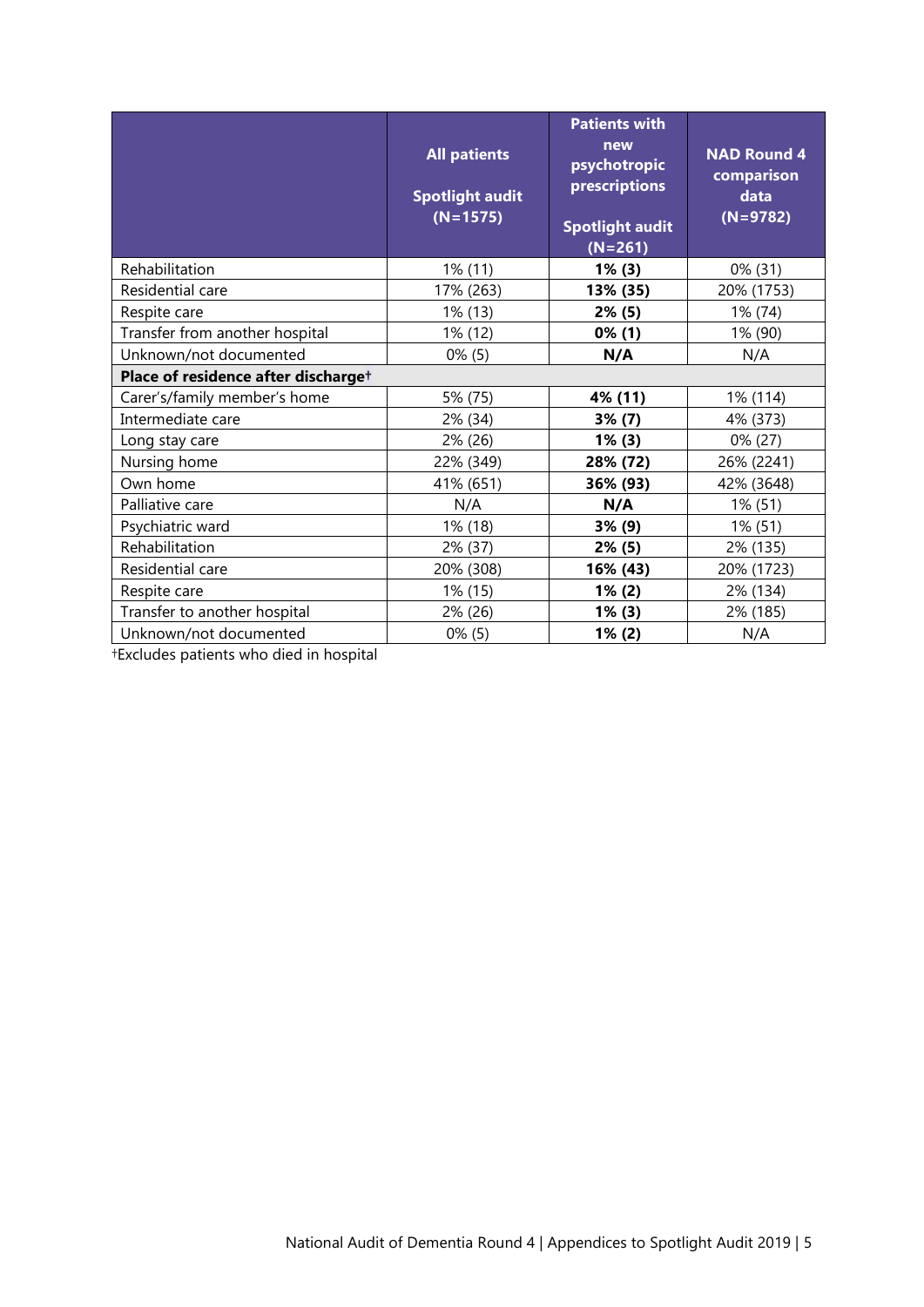|                                     | <b>All patients</b><br><b>Spotlight audit</b><br>$(N=1575)$ | <b>Patients with</b><br>new<br>psychotropic<br>prescriptions<br><b>Spotlight audit</b><br>$(N=261)$ | <b>NAD Round 4</b><br>comparison<br>data<br>$(N=9782)$ |  |  |  |
|-------------------------------------|-------------------------------------------------------------|-----------------------------------------------------------------------------------------------------|--------------------------------------------------------|--|--|--|
| Rehabilitation                      | 1% (11)                                                     | $1\%$ (3)                                                                                           | $0\%$ (31)                                             |  |  |  |
| Residential care                    | 17% (263)                                                   | 13% (35)                                                                                            | 20% (1753)                                             |  |  |  |
| Respite care                        | 1% (13)                                                     | 2% (5)                                                                                              | 1% (74)                                                |  |  |  |
| Transfer from another hospital      | 1% (12)                                                     | $0\%$ (1)                                                                                           | 1% (90)                                                |  |  |  |
| Unknown/not documented              | $0\%$ (5)                                                   | N/A                                                                                                 | N/A                                                    |  |  |  |
| Place of residence after discharget |                                                             |                                                                                                     |                                                        |  |  |  |
| Carer's/family member's home        | 5% (75)                                                     | 4% (11)                                                                                             | 1% (114)                                               |  |  |  |
| Intermediate care                   | 2% (34)                                                     | $3\%$ (7)                                                                                           | 4% (373)                                               |  |  |  |
| Long stay care                      | 2% (26)                                                     | $1\%$ (3)                                                                                           | 0% (27)                                                |  |  |  |
| Nursing home                        | 22% (349)                                                   | 28% (72)                                                                                            | 26% (2241)                                             |  |  |  |
| Own home                            | 41% (651)                                                   | 36% (93)                                                                                            | 42% (3648)                                             |  |  |  |
| Palliative care                     | N/A                                                         | N/A                                                                                                 | 1% (51)                                                |  |  |  |
| Psychiatric ward                    | 1% (18)                                                     | 3% (9)                                                                                              | 1% (51)                                                |  |  |  |
| Rehabilitation                      | 2% (37)                                                     | $2\%$ (5)                                                                                           | 2% (135)                                               |  |  |  |
| Residential care                    | 20% (308)                                                   | 16% (43)                                                                                            | 20% (1723)                                             |  |  |  |
| Respite care                        | 1% (15)                                                     | $1\%$ (2)                                                                                           | 2% (134)                                               |  |  |  |
| Transfer to another hospital        | 2% (26)                                                     | $1\%$ (3)                                                                                           | 2% (185)                                               |  |  |  |
| Unknown/not documented              | $0\%$ (5)                                                   | 1% (2)                                                                                              | N/A                                                    |  |  |  |

†Excludes patients who died in hospital